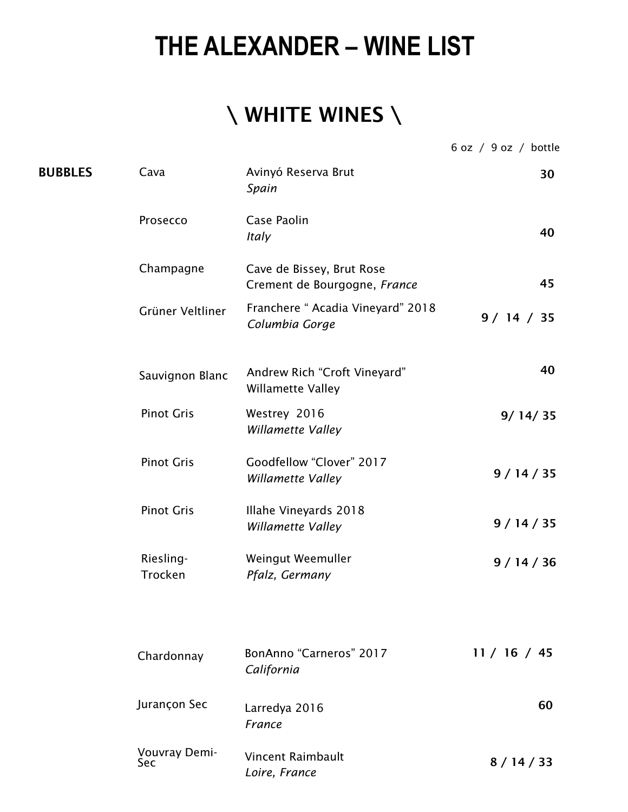## **THE ALEXANDER – WINE LIST**

## \ WHITE WINES \

6 oz / 9 oz / bottle

| <b>BUBBLES</b> | Cava                 | Avinyó Reserva Brut<br>Spain                              | 30           |
|----------------|----------------------|-----------------------------------------------------------|--------------|
|                | Prosecco             | Case Paolin<br>Italy                                      | 40           |
|                | Champagne            | Cave de Bissey, Brut Rose<br>Crement de Bourgogne, France | 45           |
|                | Grüner Veltliner     | Franchere " Acadia Vineyard" 2018<br>Columbia Gorge       | 9/14 / 35    |
|                | Sauvignon Blanc      | Andrew Rich "Croft Vineyard"<br>Willamette Valley         | 40           |
|                | <b>Pinot Gris</b>    | Westrey 2016<br>Willamette Valley                         | 9/14/35      |
|                | <b>Pinot Gris</b>    | Goodfellow "Clover" 2017<br>Willamette Valley             | 9/14/35      |
|                | <b>Pinot Gris</b>    | Illahe Vineyards 2018<br>Willamette Valley                | 9/14/35      |
|                | Riesling-<br>Trocken | Weingut Weemuller<br>Pfalz, Germany                       | 9/14/36      |
|                |                      |                                                           |              |
|                | Chardonnay           | BonAnno "Carneros" 2017<br>California                     | 11 / 16 / 45 |
|                | Jurançon Sec         | Larredya 2016<br>France                                   | 60           |
|                | Vouvray Demi-<br>Sec | Vincent Raimbault<br>Loire, France                        | 8/14/33      |